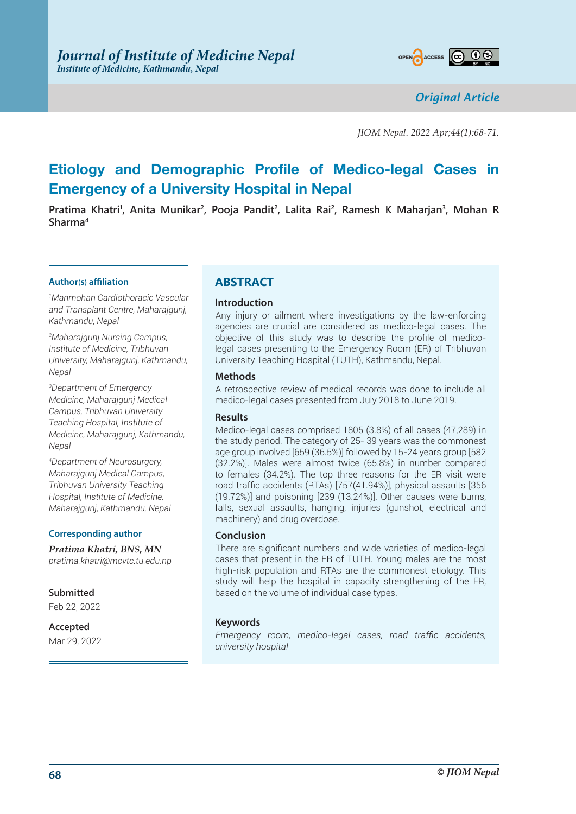

*Original Article*

*JIOM Nepal. 2022 Apr;44(1):68-71.*

# **Etiology and Demographic Profile of Medico-legal Cases in Emergency of a University Hospital in Nepal**

Pratima Khatri<sup>1</sup>, Anita Munikar<sup>2</sup>, Pooja Pandit<sup>2</sup>, Lalita Rai<sup>2</sup>, Ramesh K Maharjan<sup>3</sup>, Mohan R **Sharma4**

#### **Author(s) affiliation**

*1 Manmohan Cardiothoracic Vascular and Transplant Centre, Maharajgunj, Kathmandu, Nepal*

*2 Maharajgunj Nursing Campus, Institute of Medicine, Tribhuvan University, Maharajgunj, Kathmandu, Nepal*

*3 Department of Emergency Medicine, Maharajgunj Medical Campus, Tribhuvan University Teaching Hospital, Institute of Medicine, Maharajgunj, Kathmandu, Nepal*

*4 Department of Neurosurgery, Maharajgunj Medical Campus, Tribhuvan University Teaching Hospital, Institute of Medicine, Maharajgunj, Kathmandu, Nepal*

## **Corresponding author**

*Pratima Khatri, BNS, MN pratima.khatri@mcvtc.tu.edu.np*

**Submitted**

Feb 22, 2022

**Accepted** Mar 29, 2022

## **ABSTRACT**

## **Introduction**

Any injury or ailment where investigations by the law-enforcing agencies are crucial are considered as medico-legal cases. The objective of this study was to describe the profile of medicolegal cases presenting to the Emergency Room (ER) of Tribhuvan University Teaching Hospital (TUTH), Kathmandu, Nepal.

## **Methods**

A retrospective review of medical records was done to include all medico-legal cases presented from July 2018 to June 2019.

## **Results**

Medico-legal cases comprised 1805 (3.8%) of all cases (47,289) in the study period. The category of 25- 39 years was the commonest age group involved [659 (36.5%)] followed by 15-24 years group [582 (32.2%)]. Males were almost twice (65.8%) in number compared to females (34.2%). The top three reasons for the ER visit were road traffic accidents (RTAs) [757(41.94%)], physical assaults [356 (19.72%)] and poisoning [239 (13.24%)]. Other causes were burns, falls, sexual assaults, hanging, injuries (gunshot, electrical and machinery) and drug overdose.

## **Conclusion**

There are significant numbers and wide varieties of medico-legal cases that present in the ER of TUTH. Young males are the most high-risk population and RTAs are the commonest etiology. This study will help the hospital in capacity strengthening of the ER, based on the volume of individual case types.

## **Keywords**

*Emergency room, medico-legal cases, road traffic accidents, university hospital*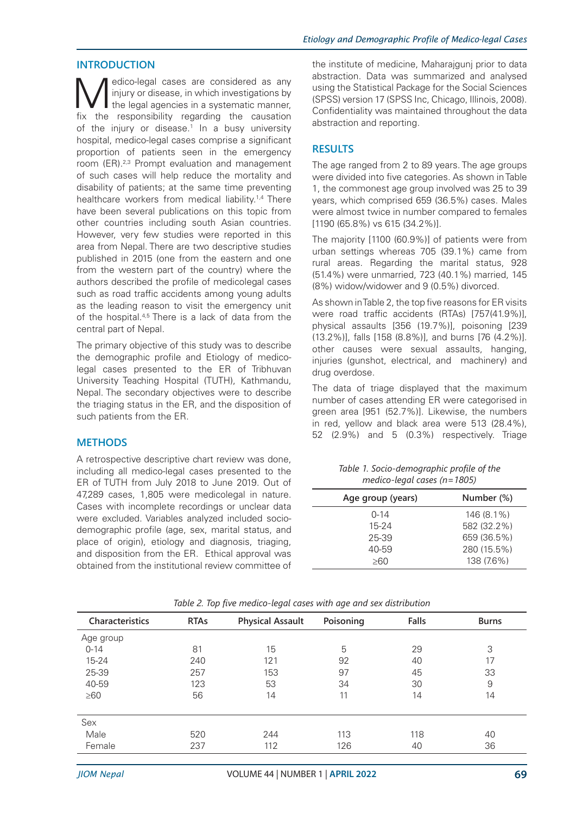#### **INTRODUCTION**

Medico-legal cases are considered as any<br>the legal agencies in a systematic manner,<br>tive the consensibility regarding the counction injury or disease, in which investigations by I the legal agencies in a systematic manner, fix the responsibility regarding the causation of the injury or disease.<sup>1</sup> In a busy university hospital, medico-legal cases comprise a significant proportion of patients seen in the emergency room (ER).2,3 Prompt evaluation and management of such cases will help reduce the mortality and disability of patients; at the same time preventing healthcare workers from medical liability.<sup>1,4</sup> There have been several publications on this topic from other countries including south Asian countries. However, very few studies were reported in this area from Nepal. There are two descriptive studies published in 2015 (one from the eastern and one from the western part of the country) where the authors described the profile of medicolegal cases such as road traffic accidents among young adults as the leading reason to visit the emergency unit of the hospital.4,5 There is a lack of data from the central part of Nepal.

The primary objective of this study was to describe the demographic profile and Etiology of medicolegal cases presented to the ER of Tribhuvan University Teaching Hospital (TUTH), Kathmandu, Nepal. The secondary objectives were to describe the triaging status in the ER, and the disposition of such patients from the ER.

## **METHODS**

A retrospective descriptive chart review was done, including all medico-legal cases presented to the ER of TUTH from July 2018 to June 2019. Out of 47,289 cases, 1,805 were medicolegal in nature. Cases with incomplete recordings or unclear data were excluded. Variables analyzed included sociodemographic profile (age, sex, marital status, and place of origin), etiology and diagnosis, triaging, and disposition from the ER. Ethical approval was obtained from the institutional review committee of

the institute of medicine, Maharajgunj prior to data abstraction. Data was summarized and analysed using the Statistical Package for the Social Sciences (SPSS) version 17 (SPSS Inc, Chicago, Illinois, 2008). Confidentiality was maintained throughout the data abstraction and reporting.

#### **RESULTS**

The age ranged from 2 to 89 years. The age groups were divided into five categories. As shown in Table 1, the commonest age group involved was 25 to 39 years, which comprised 659 (36.5%) cases. Males were almost twice in number compared to females [1190 (65.8%) vs 615 (34.2%)].

The majority [1100 (60.9%)] of patients were from urban settings whereas 705 (39.1%) came from rural areas. Regarding the marital status, 928 (51.4%) were unmarried, 723 (40.1%) married, 145 (8%) widow/widower and 9 (0.5%) divorced.

As shown in Table 2, the top five reasons for ER visits were road traffic accidents (RTAs) [757(41.9%)], physical assaults [356 (19.7%)], poisoning [239 (13.2%)], falls [158 (8.8%)], and burns [76 (4.2%)]. other causes were sexual assaults, hanging, injuries (gunshot, electrical, and machinery) and drug overdose.

The data of triage displayed that the maximum number of cases attending ER were categorised in green area [951 (52.7%)]. Likewise, the numbers in red, yellow and black area were 513 (28.4%), 52 (2.9%) and 5 (0.3%) respectively. Triage

| Table 1. Socio-demographic profile of the |
|-------------------------------------------|
| $medico$ -legal cases (n=1805)            |

| Age group (years) | Number (%)  |
|-------------------|-------------|
| $0 - 14$          | 146 (8.1%)  |
| $15 - 24$         | 582 (32.2%) |
| 25-39             | 659 (36.5%) |
| 40-59             | 280 (15.5%) |
| 8∩>               | 138 (7.6%)  |

| Characteristics | <b>RTAs</b> | <b>Physical Assault</b> | Poisoning | Falls | <b>Burns</b> |
|-----------------|-------------|-------------------------|-----------|-------|--------------|
| Age group       |             |                         |           |       |              |
| $0 - 14$        | 81          | 15                      | 5         | 29    | 3            |
| $15 - 24$       | 240         | 121                     | 92        | 40    | 17           |
| 25-39           | 257         | 153                     | 97        | 45    | 33           |
| 40-59           | 123         | 53                      | 34        | 30    | 9            |
| $\geq 60$       | 56          | 14                      | 11        | 14    | 14           |
| Sex             |             |                         |           |       |              |
| Male            | 520         | 244                     | 113       | 118   | 40           |
| Female          | 237         | 112                     | 126       | 40    | 36           |

*Table 2. Top five medico-legal cases with age and sex distribution*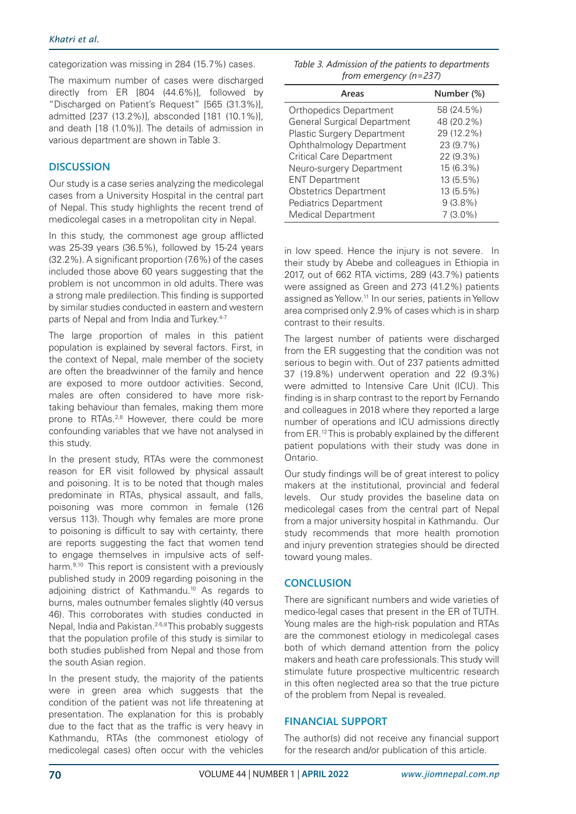categorization was missing in 284 (15.7%) cases.

The maximum number of cases were discharged directly from ER [804 (44.6%)], followed by "Discharged on Patient's Request" [565 (31.3%)], admitted [237 (13.2%)], absconded [181 (10.1%)], and death [18 (1.0%)]. The details of admission in various department are shown in Table 3.

## **DISCUSSION**

Our study is a case series analyzing the medicolegal cases from a University Hospital in the central part of Nepal. This study highlights the recent trend of medicolegal cases in a metropolitan city in Nepal.

In this study, the commonest age group afflicted was 25-39 years (36.5%), followed by 15-24 years (32.2%). A significant proportion (7.6%) of the cases included those above 60 years suggesting that the problem is not uncommon in old adults. There was a strong male predilection. This finding is supported by similar studies conducted in eastern and western parts of Nepal and from India and Turkey.<sup>4-7</sup>

The large proportion of males in this patient population is explained by several factors. First, in the context of Nepal, male member of the society are often the breadwinner of the family and hence are exposed to more outdoor activities. Second, males are often considered to have more risktaking behaviour than females, making them more prone to RTAs.<sup>2,8</sup> However, there could be more confounding variables that we have not analysed in this study.

In the present study, RTAs were the commonest reason for ER visit followed by physical assault and poisoning. It is to be noted that though males predominate in RTAs, physical assault, and falls, poisoning was more common in female (126 versus 113). Though why females are more prone to poisoning is difficult to say with certainty, there are reports suggesting the fact that women tend to engage themselves in impulsive acts of selfharm.9,10 This report is consistent with a previously published study in 2009 regarding poisoning in the adjoining district of Kathmandu.10 As regards to burns, males outnumber females slightly (40 versus 46). This corroborates with studies conducted in Nepal, India and Pakistan.<sup>2-5,8</sup> This probably suggests that the population profile of this study is similar to both studies published from Nepal and those from the south Asian region.

In the present study, the majority of the patients were in green area which suggests that the condition of the patient was not life threatening at presentation. The explanation for this is probably due to the fact that as the traffic is very heavy in Kathmandu, RTAs (the commonest etiology of medicolegal cases) often occur with the vehicles

*Table 3. Admission of the patients to departments from emergency (n=237)*

| Areas                              | Number (%) |
|------------------------------------|------------|
| <b>Orthopedics Department</b>      | 58 (24.5%) |
| <b>General Surgical Department</b> | 48 (20.2%) |
| <b>Plastic Surgery Department</b>  | 29 (12.2%) |
| <b>Ophthalmology Department</b>    | 23 (9.7%)  |
| <b>Critical Care Department</b>    | 22 (9.3%)  |
| Neuro-surgery Department           | 15 (6.3%)  |
| <b>ENT Department</b>              | 13 (5.5%)  |
| <b>Obstetrics Department</b>       | 13 (5.5%)  |
| <b>Pediatrics Department</b>       | $9(3.8\%)$ |
| <b>Medical Department</b>          | $7(3.0\%)$ |

in low speed. Hence the injury is not severe. In their study by Abebe and colleagues in Ethiopia in 2017, out of 662 RTA victims, 289 (43.7%) patients were assigned as Green and 273 (41.2%) patients assigned as Yellow.11 In our series, patients in Yellow area comprised only 2.9% of cases which is in sharp contrast to their results.

The largest number of patients were discharged from the ER suggesting that the condition was not serious to begin with. Out of 237 patients admitted 37 (19.8%) underwent operation and 22 (9.3%) were admitted to Intensive Care Unit (ICU). This finding is in sharp contrast to the report by Fernando and colleagues in 2018 where they reported a large number of operations and ICU admissions directly from ER.12 This is probably explained by the different patient populations with their study was done in Ontario.

Our study findings will be of great interest to policy makers at the institutional, provincial and federal levels. Our study provides the baseline data on medicolegal cases from the central part of Nepal from a major university hospital in Kathmandu. Our study recommends that more health promotion and injury prevention strategies should be directed toward young males.

## **CONCLUSION**

There are significant numbers and wide varieties of medico-legal cases that present in the ER of TUTH. Young males are the high-risk population and RTAs are the commonest etiology in medicolegal cases both of which demand attention from the policy makers and heath care professionals. This study will stimulate future prospective multicentric research in this often neglected area so that the true picture of the problem from Nepal is revealed.

#### **FINANCIAL SUPPORT**

The author(s) did not receive any financial support for the research and/or publication of this article.